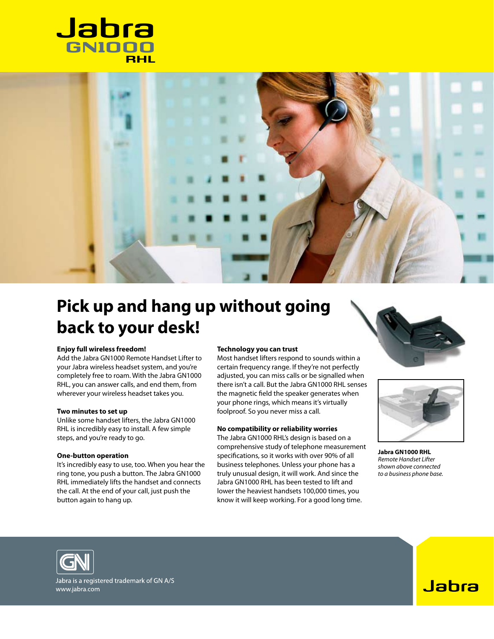



# **Pick up and hang up without going back to your desk!**

## **Enjoy full wireless freedom!**

Add the Jabra GN1000 Remote Handset Lifter to your Jabra wireless headset system, and you're completely free to roam. With the Jabra GN1000 RHL, you can answer calls, and end them, from wherever your wireless headset takes you.

## **Two minutes to set up**

Unlike some handset lifters, the Jabra GN1000 RHL is incredibly easy to install. A few simple steps, and you're ready to go.

#### **One-button operation**

It's incredibly easy to use, too. When you hear the ring tone, you push a button. The Jabra GN1000 RHL immediately lifts the handset and connects the call. At the end of your call, just push the button again to hang up.

### **Technology you can trust**

Most handset lifters respond to sounds within a certain frequency range. If they're not perfectly adjusted, you can miss calls or be signalled when there isn't a call. But the Jabra GN1000 RHL senses the magnetic field the speaker generates when your phone rings, which means it's virtually foolproof. So you never miss a call.

## **No compatibility or reliability worries**

The Jabra GN1000 RHL's design is based on a comprehensive study of telephone measurement specifications, so it works with over 90% of all business telephones. Unless your phone has a truly unusual design, it will work. And since the Jabra GN1000 RHL has been tested to lift and lower the heaviest handsets 100,000 times, you know it will keep working. For a good long time.





**Jabra GN1000 RHL** *Remote Handset Lifter shown above connected to a business phone base.*



Jabra is a registered trademark of GN A/S www.jabra.com